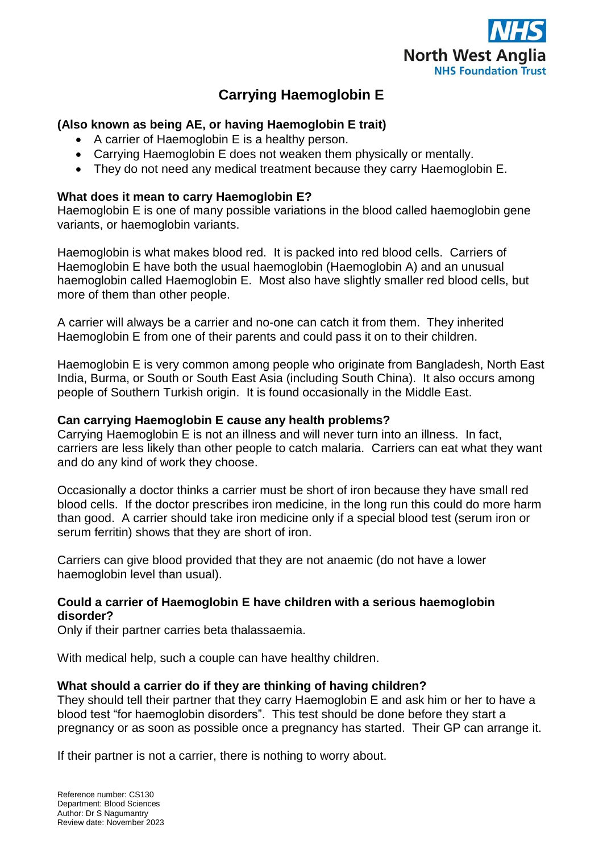

# **Carrying Haemoglobin E**

## **(Also known as being AE, or having Haemoglobin E trait)**

- A carrier of Haemoglobin E is a healthy person.
- Carrying Haemoglobin E does not weaken them physically or mentally.
- They do not need any medical treatment because they carry Haemoglobin E.

## **What does it mean to carry Haemoglobin E?**

Haemoglobin E is one of many possible variations in the blood called haemoglobin gene variants, or haemoglobin variants.

Haemoglobin is what makes blood red. It is packed into red blood cells. Carriers of Haemoglobin E have both the usual haemoglobin (Haemoglobin A) and an unusual haemoglobin called Haemoglobin E. Most also have slightly smaller red blood cells, but more of them than other people.

A carrier will always be a carrier and no-one can catch it from them. They inherited Haemoglobin E from one of their parents and could pass it on to their children.

Haemoglobin E is very common among people who originate from Bangladesh, North East India, Burma, or South or South East Asia (including South China). It also occurs among people of Southern Turkish origin. It is found occasionally in the Middle East.

## **Can carrying Haemoglobin E cause any health problems?**

Carrying Haemoglobin E is not an illness and will never turn into an illness. In fact, carriers are less likely than other people to catch malaria. Carriers can eat what they want and do any kind of work they choose.

Occasionally a doctor thinks a carrier must be short of iron because they have small red blood cells. If the doctor prescribes iron medicine, in the long run this could do more harm than good. A carrier should take iron medicine only if a special blood test (serum iron or serum ferritin) shows that they are short of iron.

Carriers can give blood provided that they are not anaemic (do not have a lower haemoglobin level than usual).

## **Could a carrier of Haemoglobin E have children with a serious haemoglobin disorder?**

Only if their partner carries beta thalassaemia.

With medical help, such a couple can have healthy children.

## **What should a carrier do if they are thinking of having children?**

They should tell their partner that they carry Haemoglobin E and ask him or her to have a blood test "for haemoglobin disorders". This test should be done before they start a pregnancy or as soon as possible once a pregnancy has started. Their GP can arrange it.

If their partner is not a carrier, there is nothing to worry about.